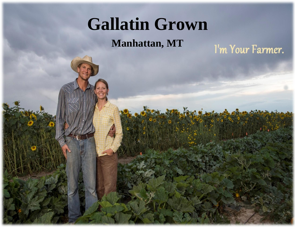## **Gallatin Grown**

**Manhattan, MT**

I'm Your Farmer.